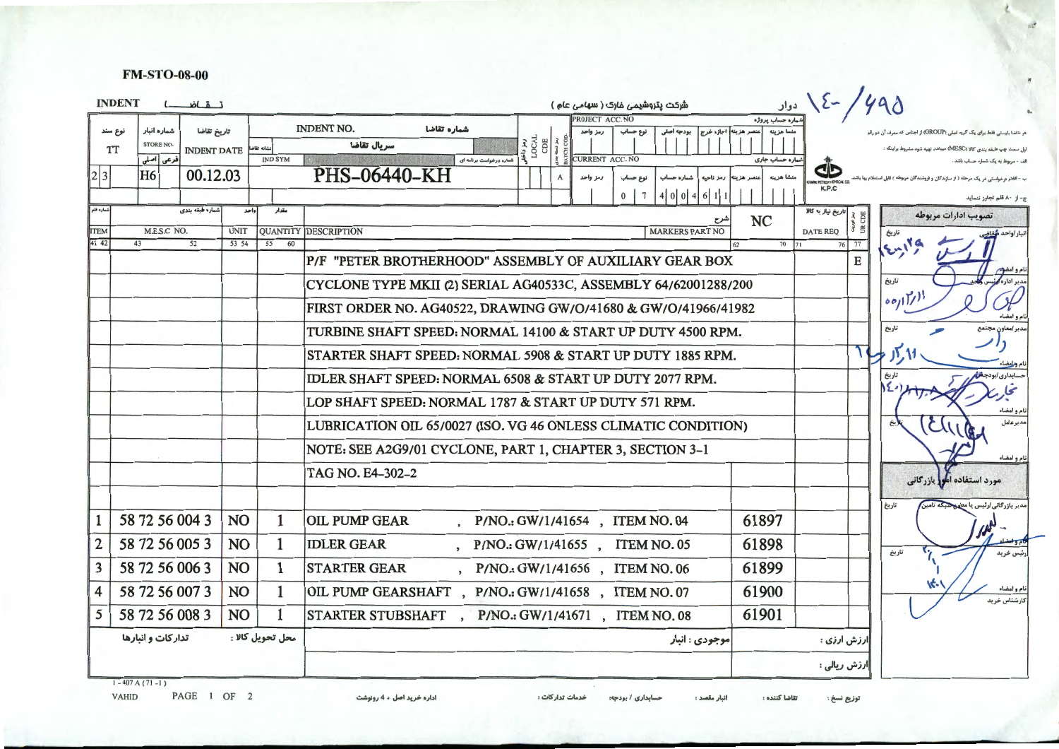#### **FM-STO-08-00**

|                     | <b>INDENT</b>    |                              | تقاضا                                                          |                                                       |                  |    | شرکت پتروشیمی غارک ( سهامی عام )                                                  |                                    | دوار                               | $2-$             |   |                                                          |
|---------------------|------------------|------------------------------|----------------------------------------------------------------|-------------------------------------------------------|------------------|----|-----------------------------------------------------------------------------------|------------------------------------|------------------------------------|------------------|---|----------------------------------------------------------|
|                     | نوع سند          | شماره انبار                  | تاريخ تقاضا                                                    |                                                       |                  |    | <b>ROJECT ACC. NO</b><br><b>INDENT NO.</b><br>شماره تقاضا<br>نوع حساب<br>رمز واحد | بودجه اصلي<br>منصر هزينه اجازه خرج | .<br>ساره حساب پروژه<br>منسا هزينه |                  |   | هر تقاضا بایسشی فقط برای یک گروه اصلی (GROUP) از اجناس آ |
|                     | <b>TT</b>        | <b>STORE NO.</b>             | <b>INDENT DATE</b>                                             |                                                       | نشأنه تقاض       |    | ALOCAL CHE<br>سريال تقاضا                                                         |                                    | شماره حساب جاری                    |                  |   | اول سمت چپ طبقه بندی کالا (MESC) میباشد تهیه شود مشر     |
| 2 3                 |                  | فرعى أأصلى<br>H <sub>6</sub> | 00.12.03                                                       |                                                       | <b>IND SYM</b>   |    | شماره درخواست برنامه ای<br><b>PHS-06440-KH</b><br>رمز واحد<br>A                   | <b>CURRENT ACC. NO</b>             |                                    |                  |   |                                                          |
|                     |                  |                              |                                                                |                                                       |                  |    | $\bf{0}$                                                                          | 4 0 0 4<br>6 1 1                   |                                    | K.P.C            |   |                                                          |
| شماره قلم           |                  |                              | شماره طبقه بندى                                                |                                                       | واحد<br>مقدار    |    |                                                                                   | سرح                                | <b>NC</b>                          | ريخ نياز به کالا |   | تصويب ادارات مربوطه                                      |
| <b>TEM</b><br>41 42 | 43               | M.E.S.C NO.                  | 52                                                             | <b>UNIT</b><br>53 54                                  | 55               | 60 | <b>QUANTITY DESCRIPTION</b>                                                       | <b>MARKERS PART NO</b>             | 70 71                              | <b>DATE REQ</b>  |   | تاريخ<br>أنبار /واحد                                     |
|                     |                  |                              |                                                                |                                                       |                  |    | P/F "PETER BROTHERHOOD" ASSEMBLY OF AUXILIARY GEAR BOX                            |                                    |                                    |                  | E | $5 - 179$                                                |
|                     |                  |                              |                                                                |                                                       |                  |    | CYCLONE TYPE MKII (2) SERIAL AG40533C, ASSEMBLY 64/62001288/200                   |                                    |                                    |                  |   | تاريخ                                                    |
|                     |                  |                              |                                                                |                                                       |                  |    | FIRST ORDER NO. AG40522, DRAWING GW/O/41680 & GW/O/41966/41982                    |                                    |                                    |                  |   | 00/17/11                                                 |
|                     |                  |                              |                                                                |                                                       |                  |    | TURBINE SHAFT SPEED: NORMAL 14100 & START UP DUTY 4500 RPM.                       |                                    |                                    |                  |   | نام و أمضاء<br>تاريخ                                     |
|                     |                  |                              |                                                                |                                                       |                  |    | STARTER SHAFT SPEED: NORMAL 5908 & START UP DUTY 1885 RPM.                        |                                    |                                    |                  |   |                                                          |
|                     |                  |                              |                                                                |                                                       |                  |    | IDLER SHAFT SPEED: NORMAL 6508 & START UP DUTY 2077 RPM.                          |                                    |                                    |                  |   |                                                          |
|                     |                  |                              |                                                                | LOP SHAFT SPEED: NORMAL 1787 & START UP DUTY 571 RPM. |                  |    |                                                                                   |                                    |                                    |                  |   |                                                          |
|                     |                  |                              |                                                                |                                                       |                  |    |                                                                                   |                                    |                                    |                  |   | تام و امضاء<br>مدير عامل<br>(تخ                          |
|                     |                  |                              | LUBRICATION OIL 65/0027 (ISO. VG 46 ONLESS CLIMATIC CONDITION) |                                                       |                  |    |                                                                                   |                                    |                                    |                  |   |                                                          |
|                     |                  |                              |                                                                |                                                       |                  |    | NOTE: SEE A2G9/01 CYCLONE, PART 1, CHAPTER 3, SECTION 3-1                         |                                    |                                    |                  |   | تام و امضاء                                              |
|                     |                  |                              |                                                                |                                                       |                  |    | TAG NO. E4-302-2                                                                  |                                    |                                    |                  |   | مورد استفاده امور بازرگانی                               |
|                     |                  |                              |                                                                |                                                       |                  |    |                                                                                   |                                    |                                    |                  |   | مدیر بازرگانی ارٹیس یا مع<br>تاريخ                       |
|                     |                  | 58 72 56 004 3               |                                                                | <b>NO</b>                                             | $\mathbf{1}$     |    | <b>OIL PUMP GEAR</b><br>P/NO.: GW/1/41654, ITEM NO. 04                            |                                    | 61897                              |                  |   |                                                          |
| $\overline{2}$      |                  | 58 72 56 005 3               |                                                                | N <sub>O</sub>                                        | 1                |    | <b>IDLER GEAR</b><br>P/NO.: GW/1/41655, ITEM NO. 05                               |                                    | 61898                              |                  |   | تاريخ                                                    |
| 3                   |                  | 58 72 56 006 3               |                                                                | N <sub>O</sub>                                        | 1                |    | <b>STARTER GEAR</b><br>, P/NO.: GW/1/41656, ITEM NO. 06                           |                                    | 61899                              |                  |   |                                                          |
| $\boldsymbol{4}$    |                  | 58 72 56 007 3               |                                                                | N <sub>O</sub>                                        | 1                |    | OIL PUMP GEARSHAFT, P/NO.: GW/1/41658, ITEM NO. 07                                |                                    | 61900                              |                  |   |                                                          |
| 5                   |                  | 58 72 56 008 3               |                                                                | NO                                                    | $\mathbf{1}$     |    | STARTER STUBSHAFT, P/NO.: GW/1/41671, ITEM NO.08                                  |                                    | 61901                              |                  |   |                                                          |
|                     |                  | تداركات و انبارها            |                                                                |                                                       | محل تحويل كالا : |    |                                                                                   | موجودي : انبار                     |                                    | ارزش ارزی :      |   |                                                          |
|                     |                  |                              |                                                                |                                                       |                  |    |                                                                                   |                                    |                                    | رزش ريالى ؛      |   |                                                          |
|                     | $1 - 407A(71-1)$ |                              |                                                                |                                                       |                  |    |                                                                                   |                                    |                                    |                  |   |                                                          |

PAGE 1 OF 2 VAHID

انبار مقصد :

تقاضا كننده :

توزيع نسخ :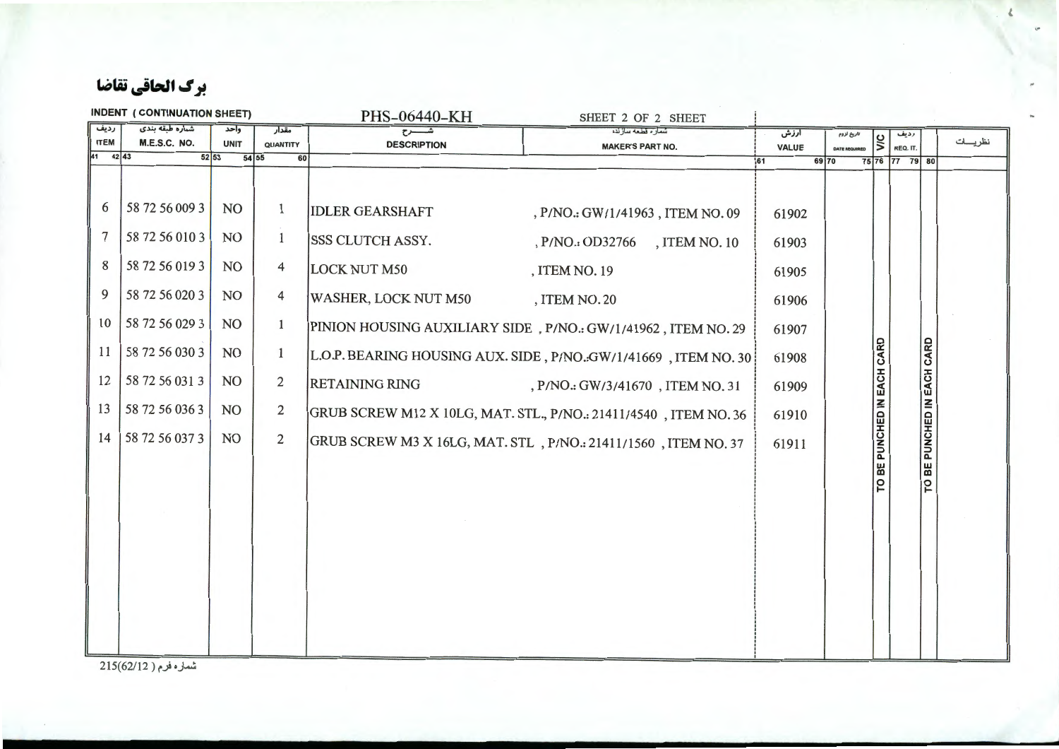برك الحاقي تقاضا

| <b>INDENT (CONTINUATION SHEET)</b><br>PHS-06440-KH<br>SHEET 2 OF 2 SHEET                 |                                                                                                                                                                                                                            |                                                                                                |                                                                                                                                                             |                                                                                                                                                        |                                                                                                                                                                                                                                                                                                                                                                                                                       |                                                                                      |                      |                                     |                |                            |         |
|------------------------------------------------------------------------------------------|----------------------------------------------------------------------------------------------------------------------------------------------------------------------------------------------------------------------------|------------------------------------------------------------------------------------------------|-------------------------------------------------------------------------------------------------------------------------------------------------------------|--------------------------------------------------------------------------------------------------------------------------------------------------------|-----------------------------------------------------------------------------------------------------------------------------------------------------------------------------------------------------------------------------------------------------------------------------------------------------------------------------------------------------------------------------------------------------------------------|--------------------------------------------------------------------------------------|----------------------|-------------------------------------|----------------|----------------------------|---------|
|                                                                                          |                                                                                                                                                                                                                            | وأحد                                                                                           | مقدار                                                                                                                                                       |                                                                                                                                                        | شمار ه قطعه ساز نده                                                                                                                                                                                                                                                                                                                                                                                                   | آرزش                                                                                 | تاريخ لزوم           |                                     | رديف           |                            |         |
|                                                                                          |                                                                                                                                                                                                                            |                                                                                                |                                                                                                                                                             |                                                                                                                                                        | <b>MAKER'S PART NO.</b>                                                                                                                                                                                                                                                                                                                                                                                               | VALUE                                                                                | <b>DATE REQUIRED</b> |                                     | REQ. IT.       |                            |         |
| رديف<br><b>ITEM</b><br>41<br>6<br>$\overline{7}$<br>8<br>9<br>10<br>11<br>12<br>13<br>14 | شماره طبقه بندی<br>M.E.S.C. NO.<br>$42 \mid 43$<br>52 53<br>58 72 56 009 3<br>58 72 56 010 3<br>58 72 56 019 3<br>58 72 56 020 3<br>58 72 56 029 3<br>58 72 56 030 3<br>58 72 56 031 3<br>58 72 56 036 3<br>58 72 56 037 3 | <b>UNIT</b><br>54 55<br>NO<br>NO<br>NO<br>NO<br>NO<br>NO <sub>1</sub><br>NO<br><b>NO</b><br>NO | QUANTITY<br>60<br>$\mathbf{1}$<br>$\mathbf{1}$<br>$\overline{4}$<br>4<br>$\mathbf{1}$<br>$\mathbf{1}$<br>$\overline{2}$<br>$\overline{2}$<br>$\overline{c}$ | <b>DESCRIPTION</b><br><b>IDLER GEARSHAFT</b><br><b>SSS CLUTCH ASSY.</b><br><b>LOCK NUT M50</b><br><b>WASHER, LOCK NUT M50</b><br><b>RETAINING RING</b> | , P/NO.: GW/1/41963, ITEM NO. 09<br>, P/NO.: OD32766<br>, ITEM NO. 10<br>, ITEM NO. 19<br>, ITEM NO. 20<br>PINION HOUSING AUXILIARY SIDE, P/NO.: GW/1/41962, ITEM NO. 29<br>L.O.P. BEARING HOUSING AUX. SIDE, P/NO.:GW/1/41669, ITEM NO. 30<br>, P/NO.: GW/3/41670, ITEM NO. 31<br>GRUB SCREW M12 X 10LG, MAT. STL., P/NO.: 21411/4540, ITEM NO. 36<br>GRUB SCREW M3 X 16LG, MAT. STL, P/NO.: 21411/1560, ITEM NO. 37 | 161<br>61902<br>61903<br>61905<br>61906<br>61907<br>61908<br>61909<br>61910<br>61911 | 69 70                | ylc<br>BE PUNCHED IN EACH CARD<br>p | 75 76 77 79 80 | TO BE PUNCHED IN EACH CARD | نظريسات |
|                                                                                          |                                                                                                                                                                                                                            |                                                                                                |                                                                                                                                                             |                                                                                                                                                        |                                                                                                                                                                                                                                                                                                                                                                                                                       |                                                                                      |                      |                                     |                |                            |         |
|                                                                                          |                                                                                                                                                                                                                            |                                                                                                |                                                                                                                                                             |                                                                                                                                                        |                                                                                                                                                                                                                                                                                                                                                                                                                       |                                                                                      |                      |                                     |                |                            |         |

شماره فرم ( 215(62/12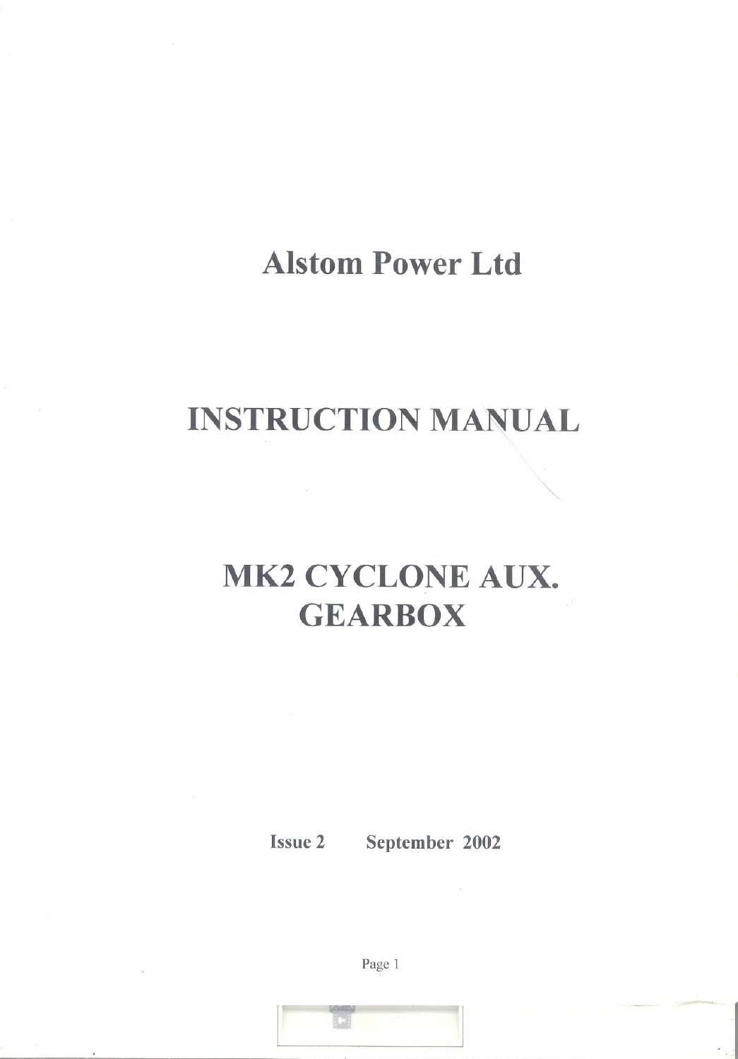# **Alstom Power Ltd**

### **INSTRUCTION MANUAL**

# **MK2 CYCLONE AUX. GEARBOX**

**Issue 2** 

September 2002

Page 1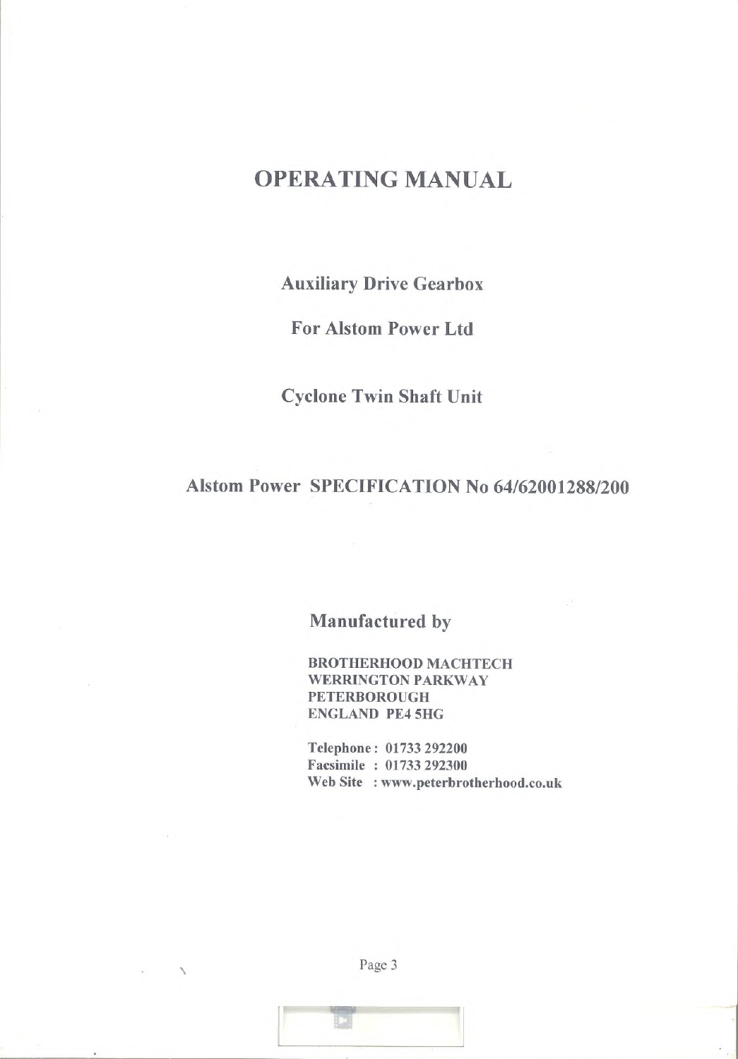#### **OPERATING MANUAL**

**Auxiliary Drive Gearbox** 

**For Alstom Power Ltd** 

**Cyclone Twin Shaft Unit** 

#### Alstom Power SPECIFICATION No 64/62001288/200

Manufactured by

**BROTHERHOOD MACHTECH WERRINGTON PARKWAY PETERBOROUGH ENGLAND PE4 5HG** 

Telephone: 01733 292200 Facsimile: 01733 292300 Web Site : www.peterbrotherhood.co.uk

Page 3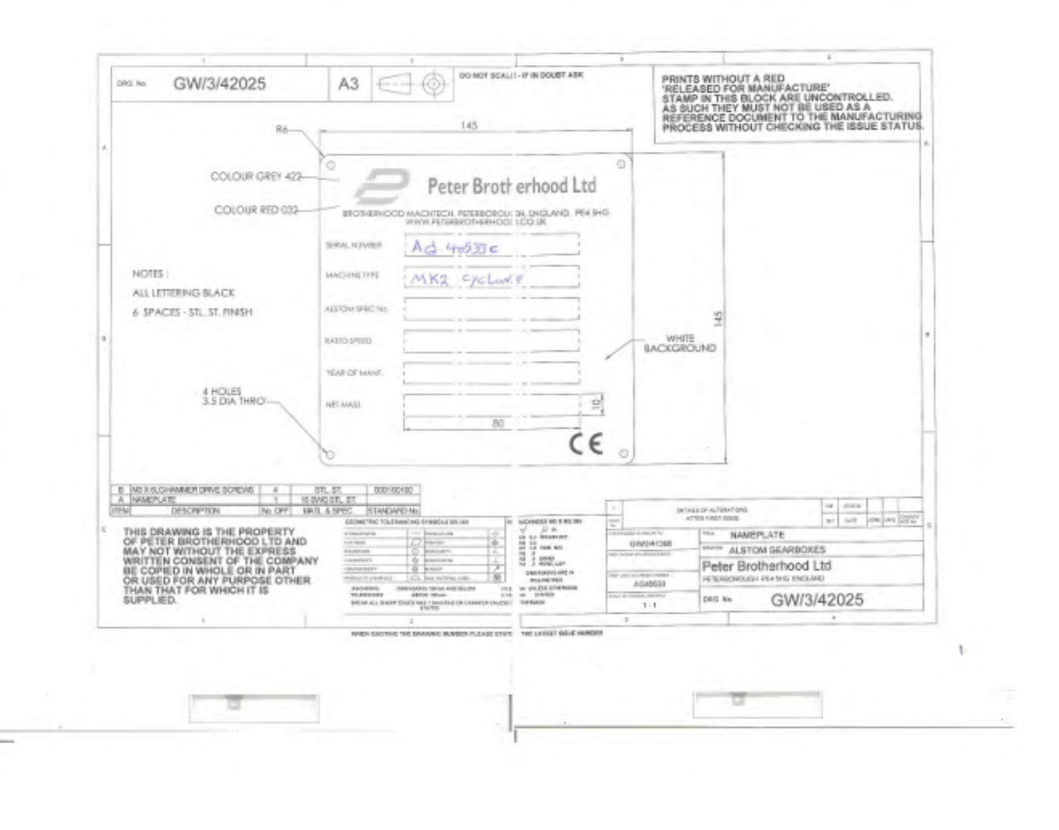

..

÷.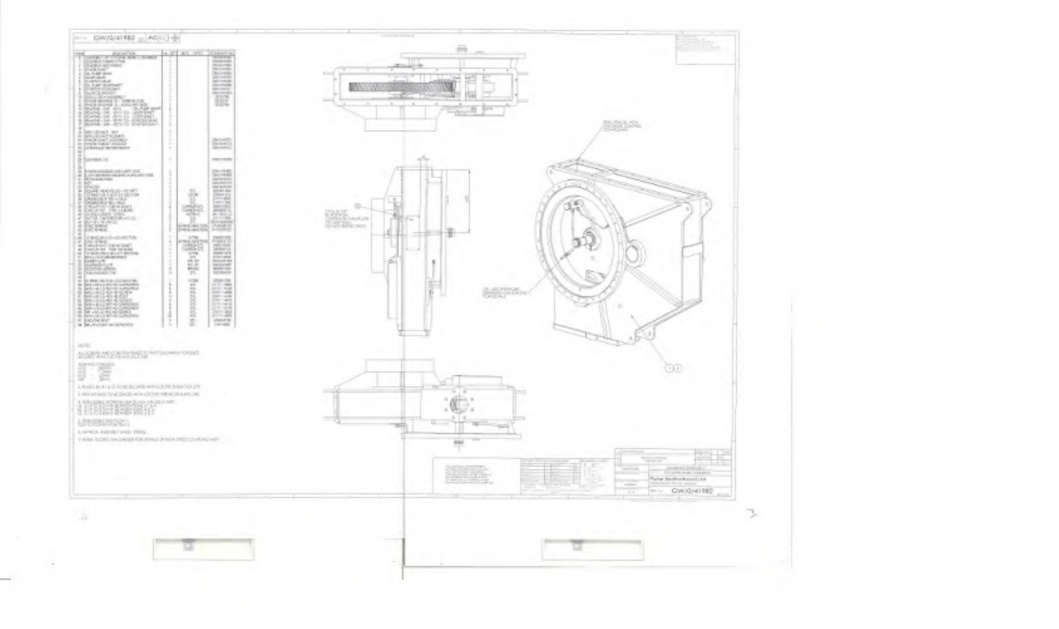